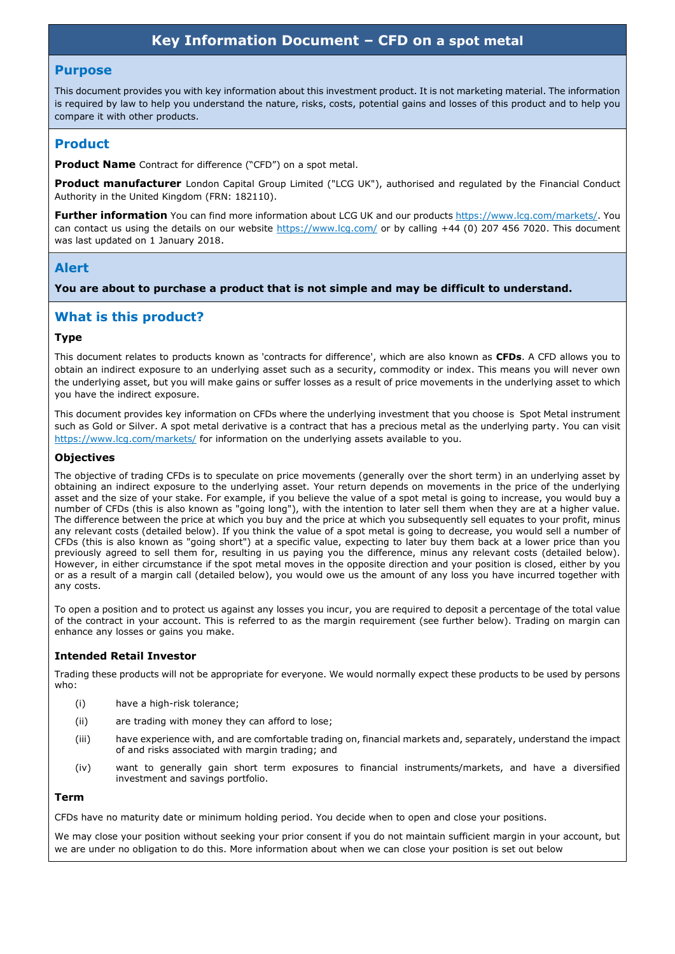# **Key Information Document – CFD on a spot metal**

#### **Purpose**

This document provides you with key information about this investment product. It is not marketing material. The information is required by law to help you understand the nature, risks, costs, potential gains and losses of this product and to help you compare it with other products.

### **Product**

**Product Name** Contract for difference ("CFD") on a spot metal.

**Product manufacturer** London Capital Group Limited ("LCG UK"), authorised and regulated by the Financial Conduct Authority in the United Kingdom (FRN: 182110).

**Further information** You can find more information about LCG UK and our products https://www.lcg.com/markets/. You can contact us using the details on our website https://www.lcg.com/ or by calling +44 (0) 207 456 7020. This document was last updated on 1 January 2018.

### **Alert**

**You are about to purchase a product that is not simple and may be difficult to understand.**

### **What is this product?**

#### **Type**

This document relates to products known as 'contracts for difference', which are also known as **CFDs**. A CFD allows you to obtain an indirect exposure to an underlying asset such as a security, commodity or index. This means you will never own the underlying asset, but you will make gains or suffer losses as a result of price movements in the underlying asset to which you have the indirect exposure.

This document provides key information on CFDs where the underlying investment that you choose is Spot Metal instrument such as Gold or Silver. A spot metal derivative is a contract that has a precious metal as the underlying party. You can visit https://www.lcg.com/markets/ for information on the underlying assets available to you.

#### **Objectives**

The objective of trading CFDs is to speculate on price movements (generally over the short term) in an underlying asset by obtaining an indirect exposure to the underlying asset. Your return depends on movements in the price of the underlying asset and the size of your stake. For example, if you believe the value of a spot metal is going to increase, you would buy a number of CFDs (this is also known as "going long"), with the intention to later sell them when they are at a higher value. The difference between the price at which you buy and the price at which you subsequently sell equates to your profit, minus any relevant costs (detailed below). If you think the value of a spot metal is going to decrease, you would sell a number of CFDs (this is also known as "going short") at a specific value, expecting to later buy them back at a lower price than you previously agreed to sell them for, resulting in us paying you the difference, minus any relevant costs (detailed below). However, in either circumstance if the spot metal moves in the opposite direction and your position is closed, either by you or as a result of a margin call (detailed below), you would owe us the amount of any loss you have incurred together with any costs.

To open a position and to protect us against any losses you incur, you are required to deposit a percentage of the total value of the contract in your account. This is referred to as the margin requirement (see further below). Trading on margin can enhance any losses or gains you make.

### **Intended Retail Investor**

Trading these products will not be appropriate for everyone. We would normally expect these products to be used by persons who:

- (i) have a high-risk tolerance;
- (ii) are trading with money they can afford to lose;
- (iii) have experience with, and are comfortable trading on, financial markets and, separately, understand the impact of and risks associated with margin trading; and
- (iv) want to generally gain short term exposures to financial instruments/markets, and have a diversified investment and savings portfolio.

### **Term**

CFDs have no maturity date or minimum holding period. You decide when to open and close your positions.

We may close your position without seeking your prior consent if you do not maintain sufficient margin in your account, but we are under no obligation to do this. More information about when we can close your position is set out below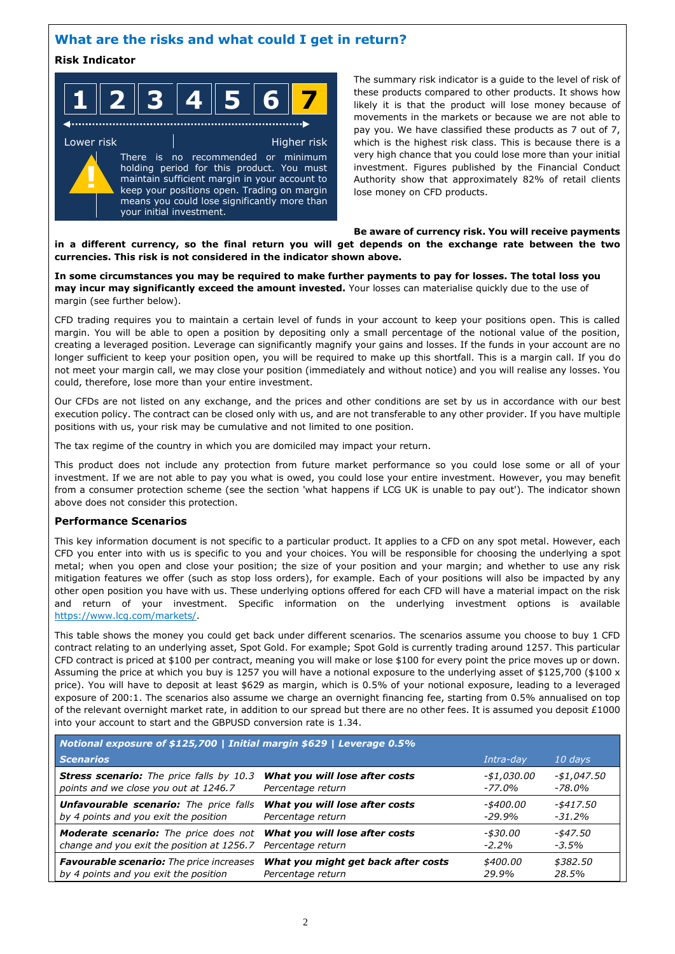## **What are the risks and what could I get in return?**

### **Risk Indicator**

| $\overline{\phantom{a}}$ | AI R<br>$\mathbf{R} \parallel \boldsymbol{\varLambda}$<br>- F | $\epsilon$<br>и. |  |
|--------------------------|---------------------------------------------------------------|------------------|--|
|--------------------------|---------------------------------------------------------------|------------------|--|

Lower risk **Higher risk** Higher risk There is no recommended or minimum holding period for this product. You must maintain sufficient margin in your account to keep your positions open. Trading on margin means you could lose significantly more than your initial investment. **!**

The summary risk indicator is a guide to the level of risk of these products compared to other products. It shows how likely it is that the product will lose money because of movements in the markets or because we are not able to pay you. We have classified these products as 7 out of 7, which is the highest risk class. This is because there is a very high chance that you could lose more than your initial investment. Figures published by the Financial Conduct Authority show that approximately 82% of retail clients lose money on CFD products.

#### **Be aware of currency risk. You will receive payments in a different currency, so the final return you will get depends on the exchange rate between the two currencies. This risk is not considered in the indicator shown above.**

**In some circumstances you may be required to make further payments to pay for losses. The total loss you may incur may significantly exceed the amount invested.** Your losses can materialise quickly due to the use of margin (see further below).

CFD trading requires you to maintain a certain level of funds in your account to keep your positions open. This is called margin. You will be able to open a position by depositing only a small percentage of the notional value of the position, creating a leveraged position. Leverage can significantly magnify your gains and losses. If the funds in your account are no longer sufficient to keep your position open, you will be required to make up this shortfall. This is a margin call. If you do not meet your margin call, we may close your position (immediately and without notice) and you will realise any losses. You could, therefore, lose more than your entire investment.

Our CFDs are not listed on any exchange, and the prices and other conditions are set by us in accordance with our best execution policy. The contract can be closed only with us, and are not transferable to any other provider. If you have multiple positions with us, your risk may be cumulative and not limited to one position.

The tax regime of the country in which you are domiciled may impact your return.

This product does not include any protection from future market performance so you could lose some or all of your investment. If we are not able to pay you what is owed, you could lose your entire investment. However, you may benefit from a consumer protection scheme (see the section 'what happens if LCG UK is unable to pay out'). The indicator shown above does not consider this protection.

### **Performance Scenarios**

This key information document is not specific to a particular product. It applies to a CFD on any spot metal. However, each CFD you enter into with us is specific to you and your choices. You will be responsible for choosing the underlying a spot metal; when you open and close your position; the size of your position and your margin; and whether to use any risk mitigation features we offer (such as stop loss orders), for example. Each of your positions will also be impacted by any other open position you have with us. These underlying options offered for each CFD will have a material impact on the risk and return of your investment. Specific information on the underlying investment options is available https://www.lcg.com/markets/.

This table shows the money you could get back under different scenarios. The scenarios assume you choose to buy 1 CFD contract relating to an underlying asset, Spot Gold. For example; Spot Gold is currently trading around 1257. This particular CFD contract is priced at \$100 per contract, meaning you will make or lose \$100 for every point the price moves up or down. Assuming the price at which you buy is 1257 you will have a notional exposure to the underlying asset of \$125,700 (\$100 x price). You will have to deposit at least \$629 as margin, which is 0.5% of your notional exposure, leading to a leveraged exposure of 200:1. The scenarios also assume we charge an overnight financing fee, starting from 0.5% annualised on top of the relevant overnight market rate, in addition to our spread but there are no other fees. It is assumed you deposit £1000 into your account to start and the GBPUSD conversion rate is 1.34.

| Notional exposure of \$125,700   Initial margin \$629   Leverage 0.5% |                                     |             |              |  |  |
|-----------------------------------------------------------------------|-------------------------------------|-------------|--------------|--|--|
| <b>Scenarios</b>                                                      |                                     | Intra-dav   | 10 days      |  |  |
| <b>Stress scenario:</b> The price falls by 10.3                       | What you will lose after costs      | -\$1,030.00 | $-$1,047.50$ |  |  |
| points and we close you out at 1246.7                                 | Percentage return                   | $-77.0\%$   | -78.0%       |  |  |
| <b>Unfavourable scenario:</b> The price falls                         | What you will lose after costs      | -\$400.00   | -\$417.50    |  |  |
| by 4 points and you exit the position                                 | Percentage return                   | $-29.9%$    | $-31.2%$     |  |  |
| <b>Moderate scenario:</b> The price does not                          | What you will lose after costs      | -\$30.00    | -\$47.50     |  |  |
| change and you exit the position at 1256.7                            | Percentage return                   | $-2.2%$     | $-3.5%$      |  |  |
| <b>Favourable scenario:</b> The price increases                       | What you might get back after costs | \$400.00    | \$382.50     |  |  |
| by 4 points and you exit the position                                 | Percentage return                   | 29.9%       | 28.5%        |  |  |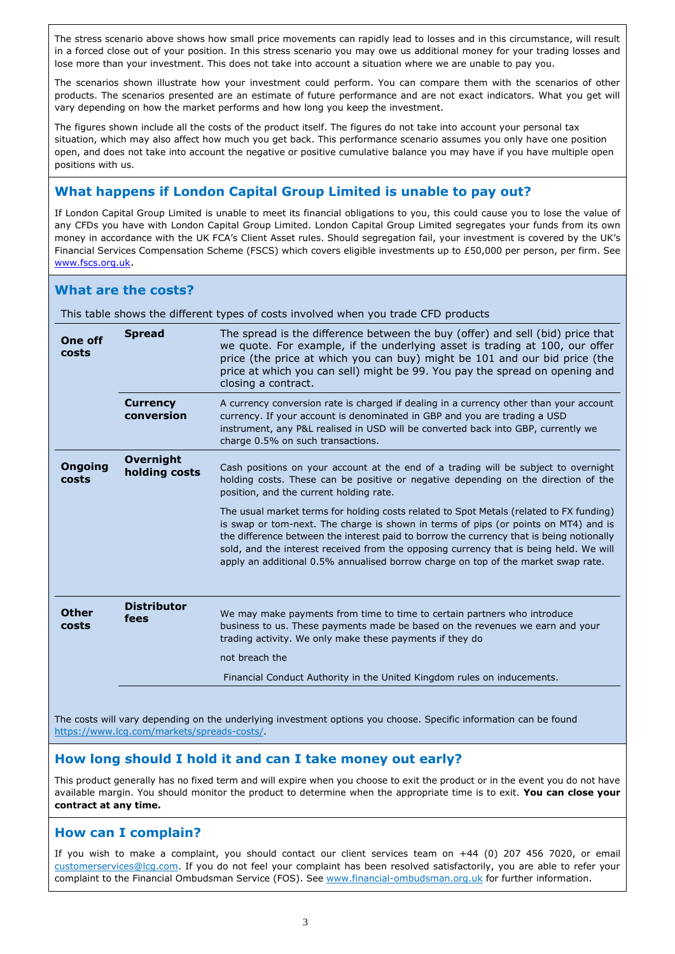The stress scenario above shows how small price movements can rapidly lead to losses and in this circumstance, will result in a forced close out of your position. In this stress scenario you may owe us additional money for your trading losses and lose more than your investment. This does not take into account a situation where we are unable to pay you.

The scenarios shown illustrate how your investment could perform. You can compare them with the scenarios of other products. The scenarios presented are an estimate of future performance and are not exact indicators. What you get will vary depending on how the market performs and how long you keep the investment.

The figures shown include all the costs of the product itself. The figures do not take into account your personal tax situation, which may also affect how much you get back. This performance scenario assumes you only have one position open, and does not take into account the negative or positive cumulative balance you may have if you have multiple open positions with us.

# **What happens if London Capital Group Limited is unable to pay out?**

If London Capital Group Limited is unable to meet its financial obligations to you, this could cause you to lose the value of any CFDs you have with London Capital Group Limited. London Capital Group Limited segregates your funds from its own money in accordance with the UK FCA's Client Asset rules. Should segregation fail, your investment is covered by the UK's Financial Services Compensation Scheme (FSCS) which covers eligible investments up to £50,000 per person, per firm. See www.fscs.org.uk.

## **What are the costs?**

This table shows the different types of costs involved when you trade CFD products

| <b>One off</b><br>costs | <b>Spread</b>                     | The spread is the difference between the buy (offer) and sell (bid) price that<br>we quote. For example, if the underlying asset is trading at 100, our offer<br>price (the price at which you can buy) might be 101 and our bid price (the<br>price at which you can sell) might be 99. You pay the spread on opening and<br>closing a contract.                                                                                                         |
|-------------------------|-----------------------------------|-----------------------------------------------------------------------------------------------------------------------------------------------------------------------------------------------------------------------------------------------------------------------------------------------------------------------------------------------------------------------------------------------------------------------------------------------------------|
|                         | <b>Currency</b><br>conversion     | A currency conversion rate is charged if dealing in a currency other than your account<br>currency. If your account is denominated in GBP and you are trading a USD<br>instrument, any P&L realised in USD will be converted back into GBP, currently we<br>charge 0.5% on such transactions.                                                                                                                                                             |
| <b>Ongoing</b><br>costs | <b>Overnight</b><br>holding costs | Cash positions on your account at the end of a trading will be subject to overnight<br>holding costs. These can be positive or negative depending on the direction of the<br>position, and the current holding rate.                                                                                                                                                                                                                                      |
|                         |                                   | The usual market terms for holding costs related to Spot Metals (related to FX funding)<br>is swap or tom-next. The charge is shown in terms of pips (or points on MT4) and is<br>the difference between the interest paid to borrow the currency that is being notionally<br>sold, and the interest received from the opposing currency that is being held. We will<br>apply an additional 0.5% annualised borrow charge on top of the market swap rate. |
| <b>Other</b><br>costs   | <b>Distributor</b><br>fees        | We may make payments from time to time to certain partners who introduce<br>business to us. These payments made be based on the revenues we earn and your<br>trading activity. We only make these payments if they do<br>not breach the                                                                                                                                                                                                                   |
|                         |                                   | Financial Conduct Authority in the United Kingdom rules on inducements.                                                                                                                                                                                                                                                                                                                                                                                   |

The costs will vary depending on the underlying investment options you choose. Specific information can be found https://www.lcg.com/markets/spreads-costs/.

# **How long should I hold it and can I take money out early?**

This product generally has no fixed term and will expire when you choose to exit the product or in the event you do not have available margin. You should monitor the product to determine when the appropriate time is to exit. **You can close your contract at any time.**

## **How can I complain?**

If you wish to make a complaint, you should contact our client services team on +44 (0) 207 456 7020, or email customerservices@lcg.com. If you do not feel your complaint has been resolved satisfactorily, you are able to refer your complaint to the Financial Ombudsman Service (FOS). See www.financial-ombudsman.org.uk for further information.